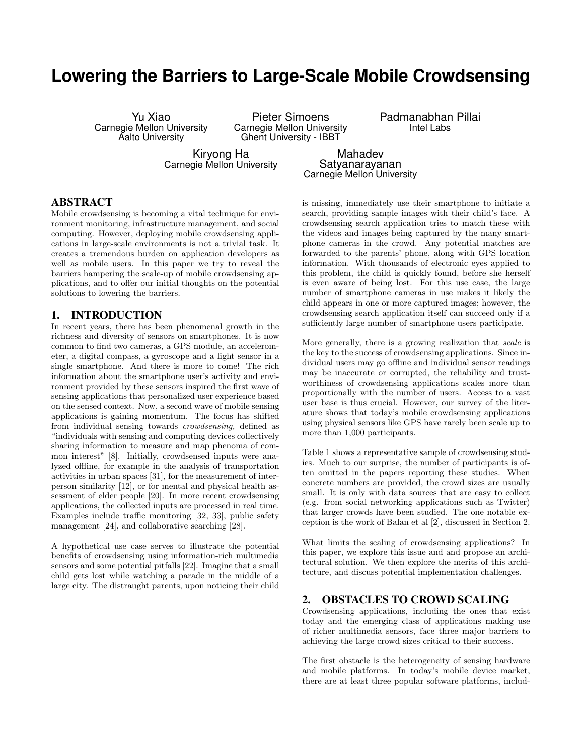# **Lowering the Barriers to Large-Scale Mobile Crowdsensing**

Yu Xiao Carnegie Mellon University Aalto University

Pieter Simoens Carnegie Mellon University Ghent University - IBBT

Padmanabhan Pillai Intel Labs

Kiryong Ha Carnegie Mellon University

Mahadev Satyanarayanan Carnegie Mellon University

#### ABSTRACT

Mobile crowdsensing is becoming a vital technique for environment monitoring, infrastructure management, and social computing. However, deploying mobile crowdsensing applications in large-scale environments is not a trivial task. It creates a tremendous burden on application developers as well as mobile users. In this paper we try to reveal the barriers hampering the scale-up of mobile crowdsensing applications, and to offer our initial thoughts on the potential solutions to lowering the barriers.

#### 1. INTRODUCTION

In recent years, there has been phenomenal growth in the richness and diversity of sensors on smartphones. It is now common to find two cameras, a GPS module, an accelerometer, a digital compass, a gyroscope and a light sensor in a single smartphone. And there is more to come! The rich information about the smartphone user's activity and environment provided by these sensors inspired the first wave of sensing applications that personalized user experience based on the sensed context. Now, a second wave of mobile sensing applications is gaining momentum. The focus has shifted from individual sensing towards crowdsensing, defined as "individuals with sensing and computing devices collectively sharing information to measure and map phenoma of common interest" [8]. Initially, crowdsensed inputs were analyzed offline, for example in the analysis of transportation activities in urban spaces [31], for the measurement of interperson similarity [12], or for mental and physical health assessment of elder people [20]. In more recent crowdsensing applications, the collected inputs are processed in real time. Examples include traffic monitoring [32, 33], public safety management [24], and collaborative searching [28].

A hypothetical use case serves to illustrate the potential benefits of crowdsensing using information-rich multimedia sensors and some potential pitfalls [22]. Imagine that a small child gets lost while watching a parade in the middle of a large city. The distraught parents, upon noticing their child

is missing, immediately use their smartphone to initiate a search, providing sample images with their child's face. A crowdsensing search application tries to match these with the videos and images being captured by the many smartphone cameras in the crowd. Any potential matches are forwarded to the parents' phone, along with GPS location information. With thousands of electronic eyes applied to this problem, the child is quickly found, before she herself is even aware of being lost. For this use case, the large number of smartphone cameras in use makes it likely the child appears in one or more captured images; however, the crowdsensing search application itself can succeed only if a sufficiently large number of smartphone users participate.

More generally, there is a growing realization that scale is the key to the success of crowdsensing applications. Since individual users may go offline and individual sensor readings may be inaccurate or corrupted, the reliability and trustworthiness of crowdsensing applications scales more than proportionally with the number of users. Access to a vast user base is thus crucial. However, our survey of the literature shows that today's mobile crowdsensing applications using physical sensors like GPS have rarely been scale up to more than 1,000 participants.

Table 1 shows a representative sample of crowdsensing studies. Much to our surprise, the number of participants is often omitted in the papers reporting these studies. When concrete numbers are provided, the crowd sizes are usually small. It is only with data sources that are easy to collect (e.g. from social networking applications such as Twitter) that larger crowds have been studied. The one notable exception is the work of Balan et al [2], discussed in Section 2.

What limits the scaling of crowdsensing applications? In this paper, we explore this issue and and propose an architectural solution. We then explore the merits of this architecture, and discuss potential implementation challenges.

#### 2. OBSTACLES TO CROWD SCALING

Crowdsensing applications, including the ones that exist today and the emerging class of applications making use of richer multimedia sensors, face three major barriers to achieving the large crowd sizes critical to their success.

The first obstacle is the heterogeneity of sensing hardware and mobile platforms. In today's mobile device market, there are at least three popular software platforms, includ-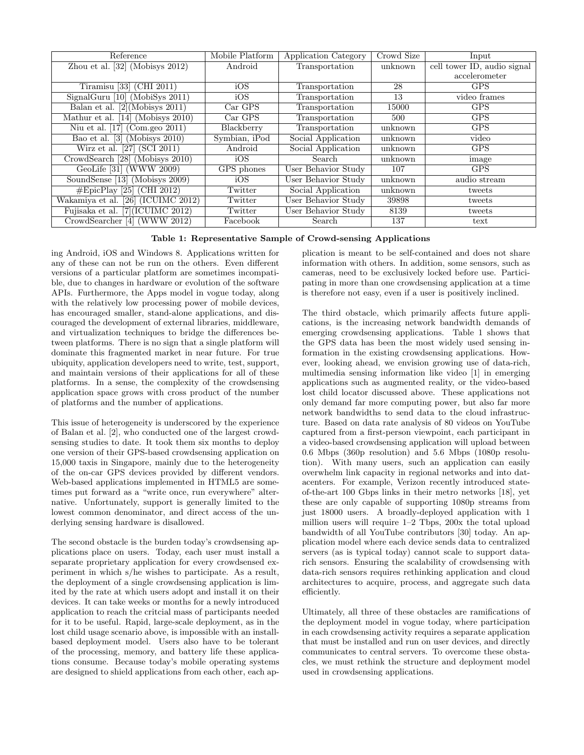| Reference                              | Mobile Platform | Application Category | Crowd Size | Input                       |
|----------------------------------------|-----------------|----------------------|------------|-----------------------------|
| Zhou et al. $[32]$ (Mobisys 2012)      | Android         | Transportation       | unknown    | cell tower ID, audio signal |
|                                        |                 |                      |            | accelerometer               |
| Tiramisu [33] (CHI 2011)               | iOS             | Transportation       | 28         | <b>GPS</b>                  |
| SignalGuru $[10]$ (MobiSys 2011)       | iOS             | Transportation       | 13         | video frames                |
| Balan et al. $[2]$ (Mobisys 2011)      | Car GPS         | Transportation       | 15000      | <b>GPS</b>                  |
| (Mobisys 2010)<br>Mathur et al. [14]   | Car GPS         | Transportation       | 500        | <b>GPS</b>                  |
| Niu et al. $[17]$<br>$(Com.$ geo 2011) | Blackberry      | Transportation       | unknown    | <b>GPS</b>                  |
| (Mobisys 2010)<br>Bao et al. [3]       | Symbian, iPod   | Social Application   | unknown    | video                       |
| (SCI 2011)<br>Wirz et al. [27]         | Android         | Social Application   | unknown    | <b>GPS</b>                  |
| CrowdSearch [28] (Mobisys 2010)        | iOS             | Search               | unknown    | image                       |
| GeoLife [31] (WWW 2009)                | GPS phones      | User Behavior Study  | 107        | <b>GPS</b>                  |
| SoundSense [13] (Mobisys 2009)         | iOS             | User Behavior Study  | unknown    | audio stream                |
| $\#$ EpicPlay [25] (CHI 2012)          | Twitter         | Social Application   | unknown    | tweets                      |
| Wakamiya et al. [26] (ICUIMC 2012)     | Twitter         | User Behavior Study  | 39898      | tweets                      |
| Fujisaka et al. [7] (ICUIMC 2012)      | Twitter         | User Behavior Study  | 8139       | tweets                      |
| CrowdSearcher [4] (WWW 2012)           | Facebook        | Search               | 137        | text                        |

| Table 1: Representative Sample of Crowd-sensing Applications |  |  |
|--------------------------------------------------------------|--|--|
|                                                              |  |  |

ing Android, iOS and Windows 8. Applications written for any of these can not be run on the others. Even different versions of a particular platform are sometimes incompatible, due to changes in hardware or evolution of the software APIs. Furthermore, the Apps model in vogue today, along with the relatively low processing power of mobile devices, has encouraged smaller, stand-alone applications, and discouraged the development of external libraries, middleware, and virtualization techniques to bridge the differences between platforms. There is no sign that a single platform will dominate this fragmented market in near future. For true ubiquity, application developers need to write, test, support, and maintain versions of their applications for all of these platforms. In a sense, the complexity of the crowdsensing application space grows with cross product of the number of platforms and the number of applications.

This issue of heterogeneity is underscored by the experience of Balan et al. [2], who conducted one of the largest crowdsensing studies to date. It took them six months to deploy one version of their GPS-based crowdsensing application on 15,000 taxis in Singapore, mainly due to the heterogeneity of the on-car GPS devices provided by different vendors. Web-based applications implemented in HTML5 are sometimes put forward as a "write once, run everywhere" alternative. Unfortunately, support is generally limited to the lowest common denominator, and direct access of the underlying sensing hardware is disallowed.

The second obstacle is the burden today's crowdsensing applications place on users. Today, each user must install a separate proprietary application for every crowdsensed experiment in which s/he wishes to participate. As a result, the deployment of a single crowdsensing application is limited by the rate at which users adopt and install it on their devices. It can take weeks or months for a newly introduced application to reach the critcial mass of participants needed for it to be useful. Rapid, large-scale deployment, as in the lost child usage scenario above, is impossible with an installbased deployment model. Users also have to be tolerant of the processing, memory, and battery life these applications consume. Because today's mobile operating systems are designed to shield applications from each other, each ap-

plication is meant to be self-contained and does not share information with others. In addition, some sensors, such as cameras, need to be exclusively locked before use. Participating in more than one crowdsensing application at a time is therefore not easy, even if a user is positively inclined.

The third obstacle, which primarily affects future applications, is the increasing network bandwidth demands of emerging crowdsensing applications. Table 1 shows that the GPS data has been the most widely used sensing information in the existing crowdsensing applications. However, looking ahead, we envision growing use of data-rich, multimedia sensing information like video [1] in emerging applications such as augmented reality, or the video-based lost child locator discussed above. These applications not only demand far more computing power, but also far more network bandwidths to send data to the cloud infrastructure. Based on data rate analysis of 80 videos on YouTube captured from a first-person viewpoint, each participant in a video-based crowdsensing application will upload between 0.6 Mbps (360p resolution) and 5.6 Mbps (1080p resolution). With many users, such an application can easily overwhelm link capacity in regional networks and into datacenters. For example, Verizon recently introduced stateof-the-art 100 Gbps links in their metro networks [18], yet these are only capable of supporting 1080p streams from just 18000 users. A broadly-deployed application with 1 million users will require 1–2 Tbps, 200x the total upload bandwidth of all YouTube contributors [30] today. An application model where each device sends data to centralized servers (as is typical today) cannot scale to support datarich sensors. Ensuring the scalability of crowdsensing with data-rich sensors requires rethinking application and cloud architectures to acquire, process, and aggregate such data efficiently.

Ultimately, all three of these obstacles are ramifications of the deployment model in vogue today, where participation in each crowdsensing activity requires a separate application that must be installed and run on user devices, and directly communicates to central servers. To overcome these obstacles, we must rethink the structure and deployment model used in crowdsensing applications.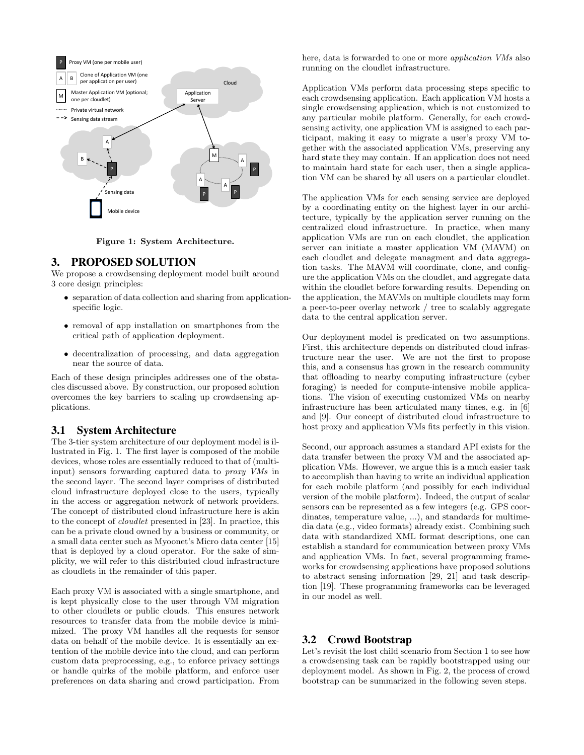



## 3. PROPOSED SOLUTION

We propose a crowdsensing deployment model built around 3 core design principles:

- separation of data collection and sharing from applicationspecific logic.
- removal of app installation on smartphones from the critical path of application deployment.
- decentralization of processing, and data aggregation near the source of data.

Each of these design principles addresses one of the obstacles discussed above. By construction, our proposed solution overcomes the key barriers to scaling up crowdsensing applications.

## 3.1 System Architecture

The 3-tier system architecture of our deployment model is illustrated in Fig. 1. The first layer is composed of the mobile devices, whose roles are essentially reduced to that of (multiinput) sensors forwarding captured data to proxy VMs in the second layer. The second layer comprises of distributed cloud infrastructure deployed close to the users, typically in the access or aggregation network of network providers. The concept of distributed cloud infrastructure here is akin to the concept of cloudlet presented in [23]. In practice, this can be a private cloud owned by a business or community, or a small data center such as Myoonet's Micro data center [15] that is deployed by a cloud operator. For the sake of simplicity, we will refer to this distributed cloud infrastructure as cloudlets in the remainder of this paper.

Each proxy VM is associated with a single smartphone, and is kept physically close to the user through VM migration to other cloudlets or public clouds. This ensures network resources to transfer data from the mobile device is minimized. The proxy VM handles all the requests for sensor data on behalf of the mobile device. It is essentially an extention of the mobile device into the cloud, and can perform custom data preprocessing, e.g., to enforce privacy settings or handle quirks of the mobile platform, and enforce user preferences on data sharing and crowd participation. From

here, data is forwarded to one or more application VMs also running on the cloudlet infrastructure.

Application VMs perform data processing steps specific to each crowdsensing application. Each application VM hosts a single crowdsensing application, which is not customized to any particular mobile platform. Generally, for each crowdsensing activity, one application VM is assigned to each participant, making it easy to migrate a user's proxy VM together with the associated application VMs, preserving any hard state they may contain. If an application does not need to maintain hard state for each user, then a single application VM can be shared by all users on a particular cloudlet.

The application VMs for each sensing service are deployed by a coordinating entity on the highest layer in our architecture, typically by the application server running on the centralized cloud infrastructure. In practice, when many application VMs are run on each cloudlet, the application server can initiate a master application VM (MAVM) on each cloudlet and delegate managment and data aggregation tasks. The MAVM will coordinate, clone, and configure the application VMs on the cloudlet, and aggregate data within the cloudlet before forwarding results. Depending on the application, the MAVMs on multiple cloudlets may form a peer-to-peer overlay network / tree to scalably aggregate data to the central application server.

Our deployment model is predicated on two assumptions. First, this architecture depends on distributed cloud infrastructure near the user. We are not the first to propose this, and a consensus has grown in the research community that offloading to nearby computing infrastructure (cyber foraging) is needed for compute-intensive mobile applications. The vision of executing customized VMs on nearby infrastructure has been articulated many times, e.g. in [6] and [9]. Our concept of distributed cloud infrastructure to host proxy and application VMs fits perfectly in this vision.

Second, our approach assumes a standard API exists for the data transfer between the proxy VM and the associated application VMs. However, we argue this is a much easier task to accomplish than having to write an individual application for each mobile platform (and possibly for each individual version of the mobile platform). Indeed, the output of scalar sensors can be represented as a few integers (e.g. GPS coordinates, temperature value, ...), and standards for multimedia data (e.g., video formats) already exist. Combining such data with standardized XML format descriptions, one can establish a standard for communication between proxy VMs and application VMs. In fact, several programming frameworks for crowdsensing applications have proposed solutions to abstract sensing information [29, 21] and task description [19]. These programming frameworks can be leveraged in our model as well.

## 3.2 Crowd Bootstrap

Let's revisit the lost child scenario from Section 1 to see how a crowdsensing task can be rapidly bootstrapped using our deployment model. As shown in Fig. 2, the process of crowd bootstrap can be summarized in the following seven steps.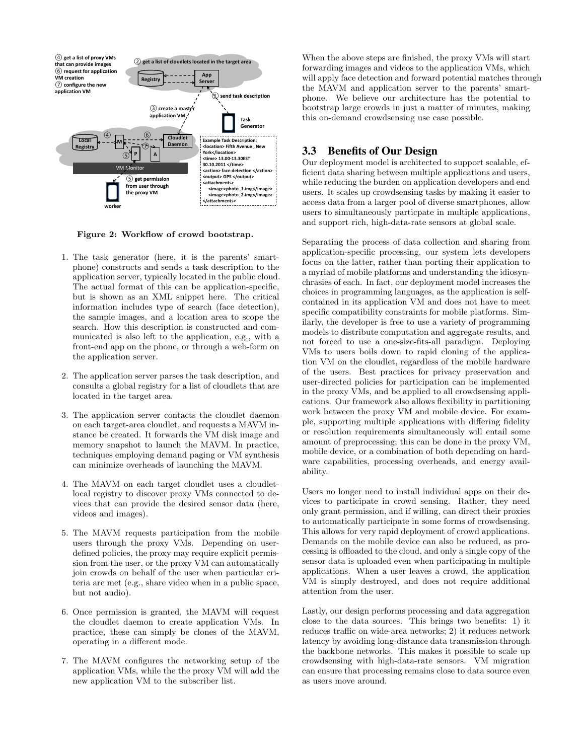

Figure 2: Workflow of crowd bootstrap.

- 1. The task generator (here, it is the parents' smartphone) constructs and sends a task description to the application server, typically located in the public cloud. The actual format of this can be application-specific, but is shown as an XML snippet here. The critical information includes type of search (face detection), the sample images, and a location area to scope the search. How this description is constructed and communicated is also left to the application, e.g., with a front-end app on the phone, or through a web-form on the application server.
- 2. The application server parses the task description, and consults a global registry for a list of cloudlets that are located in the target area.
- 3. The application server contacts the cloudlet daemon on each target-area cloudlet, and requests a MAVM instance be created. It forwards the VM disk image and memory snapshot to launch the MAVM. In practice, techniques employing demand paging or VM synthesis can minimize overheads of launching the MAVM.
- 4. The MAVM on each target cloudlet uses a cloudletlocal registry to discover proxy VMs connected to devices that can provide the desired sensor data (here, videos and images).
- 5. The MAVM requests participation from the mobile users through the proxy VMs. Depending on userdefined policies, the proxy may require explicit permission from the user, or the proxy VM can automatically join crowds on behalf of the user when particular criteria are met (e.g., share video when in a public space, but not audio).
- 6. Once permission is granted, the MAVM will request the cloudlet daemon to create application VMs. In practice, these can simply be clones of the MAVM, operating in a different mode.
- 7. The MAVM configures the networking setup of the application VMs, while the the proxy VM will add the new application VM to the subscriber list.

When the above steps are finished, the proxy VMs will start forwarding images and videos to the application VMs, which will apply face detection and forward potential matches through the MAVM and application server to the parents' smartphone. We believe our architecture has the potential to bootstrap large crowds in just a matter of minutes, making this on-demand crowdsensing use case possible.

#### 3.3 Benefits of Our Design

Our deployment model is architected to support scalable, efficient data sharing between multiple applications and users, while reducing the burden on application developers and end users. It scales up crowdsensing tasks by making it easier to access data from a larger pool of diverse smartphones, allow users to simultaneously particpate in multiple applications, and support rich, high-data-rate sensors at global scale.

Separating the process of data collection and sharing from application-specific processing, our system lets developers focus on the latter, rather than porting their application to a myriad of mobile platforms and understanding the idiosynchrasies of each. In fact, our deployment model increases the choices in programming languages, as the application is selfcontained in its application VM and does not have to meet specific compatibility constraints for mobile platforms. Similarly, the developer is free to use a variety of programming models to distribute computation and aggregate results, and not forced to use a one-size-fits-all paradigm. Deploying VMs to users boils down to rapid cloning of the application VM on the cloudlet, regardless of the mobile hardware of the users. Best practices for privacy preservation and user-directed policies for participation can be implemented in the proxy VMs, and be applied to all crowdsensing applications. Our framework also allows flexibility in partitioning work between the proxy VM and mobile device. For example, supporting multiple applications with differing fidelity or resolution requirements simultaneously will entail some amount of preprocessing; this can be done in the proxy VM, mobile device, or a combination of both depending on hardware capabilities, processing overheads, and energy availability.

Users no longer need to install individual apps on their devices to participate in crowd sensing. Rather, they need only grant permission, and if willing, can direct their proxies to automatically participate in some forms of crowdsensing. This allows for very rapid deployment of crowd applications. Demands on the mobile device can also be reduced, as processing is offloaded to the cloud, and only a single copy of the sensor data is uploaded even when participating in multiple applications. When a user leaves a crowd, the application VM is simply destroyed, and does not require additional attention from the user.

Lastly, our design performs processing and data aggregation close to the data sources. This brings two benefits: 1) it reduces traffic on wide-area networks; 2) it reduces network latency by avoiding long-distance data transmission through the backbone networks. This makes it possible to scale up crowdsensing with high-data-rate sensors. VM migration can ensure that processing remains close to data source even as users move around.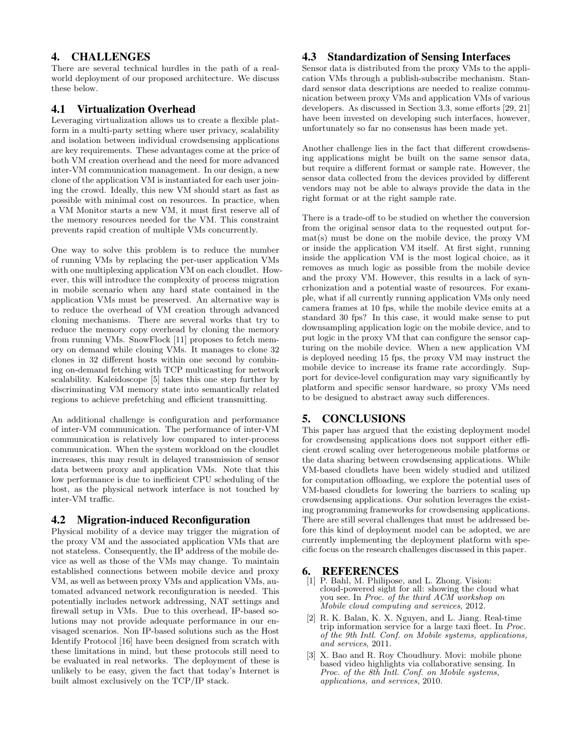## 4. CHALLENGES

There are several technical hurdles in the path of a realworld deployment of our proposed architecture. We discuss these below.

## 4.1 Virtualization Overhead

Leveraging virtualization allows us to create a flexible platform in a multi-party setting where user privacy, scalability and isolation between individual crowdsensing applications are key requirements. These advantages come at the price of both VM creation overhead and the need for more advanced inter-VM communication management. In our design, a new clone of the application VM is instantiated for each user joining the crowd. Ideally, this new VM should start as fast as possible with minimal cost on resources. In practice, when a VM Monitor starts a new VM, it must first reserve all of the memory resources needed for the VM. This constraint prevents rapid creation of multiple VMs concurrently.

One way to solve this problem is to reduce the number of running VMs by replacing the per-user application VMs with one multiplexing application VM on each cloudlet. However, this will introduce the complexity of process migration in mobile scenario when any hard state contained in the application VMs must be preserved. An alternative way is to reduce the overhead of VM creation through advanced cloning mechanisms. There are several works that try to reduce the memory copy overhead by cloning the memory from running VMs. SnowFlock [11] proposes to fetch memory on demand while cloning VMs. It manages to clone 32 clones in 32 different hosts within one second by combining on-demand fetching with TCP multicasting for network scalability. Kaleidoscope [5] takes this one step further by discriminating VM memory state into semantically related regions to achieve prefetching and efficient transmitting.

An additional challenge is configuration and performance of inter-VM communication. The performance of inter-VM communication is relatively low compared to inter-process communication. When the system workload on the cloudlet increases, this may result in delayed transmission of sensor data between proxy and application VMs. Note that this low performance is due to inefficient CPU scheduling of the host, as the physical network interface is not touched by inter-VM traffic.

## 4.2 Migration-induced Reconfiguration

Physical mobility of a device may trigger the migration of the proxy VM and the associated application VMs that are not stateless. Consequently, the IP address of the mobile device as well as those of the VMs may change. To maintain established connections between mobile device and proxy VM, as well as between proxy VMs and application VMs, automated advanced network reconfiguration is needed. This potentially includes network addressing, NAT settings and firewall setup in VMs. Due to this overhead, IP-based solutions may not provide adequate performance in our envisaged scenarios. Non IP-based solutions such as the Host Identify Protocol [16] have been designed from scratch with these limitations in mind, but these protocols still need to be evaluated in real networks. The deployment of these is unlikely to be easy, given the fact that today's Internet is built almost exclusively on the TCP/IP stack.

# 4.3 Standardization of Sensing Interfaces

Sensor data is distributed from the proxy VMs to the application VMs through a publish-subscribe mechanism. Standard sensor data descriptions are needed to realize communication between proxy VMs and application VMs of various developers. As discussed in Section 3.3, some efforts [29, 21] have been invested on developing such interfaces, however, unfortunately so far no consensus has been made yet.

Another challenge lies in the fact that different crowdsensing applications might be built on the same sensor data, but require a different format or sample rate. However, the sensor data collected from the devices provided by different vendors may not be able to always provide the data in the right format or at the right sample rate.

There is a trade-off to be studied on whether the conversion from the original sensor data to the requested output format(s) must be done on the mobile device, the proxy VM or inside the application VM itself. At first sight, running inside the application VM is the most logical choice, as it removes as much logic as possible from the mobile device and the proxy VM. However, this results in a lack of syncrhonization and a potential waste of resources. For example, what if all currently running application VMs only need camera frames at 10 fps, while the mobile device emits at a standard 30 fps? In this case, it would make sense to put downsampling application logic on the mobile device, and to put logic in the proxy VM that can configure the sensor capturing on the mobile device. When a new application VM is deployed needing 15 fps, the proxy VM may instruct the mobile device to increase its frame rate accordingly. Support for device-level configuration may vary significantly by platform and specific sensor hardware, so proxy VMs need to be designed to abstract away such differences.

# 5. CONCLUSIONS

This paper has argued that the existing deployment model for crowdsensing applications does not support either efficient crowd scaling over heterogeneous mobile platforms or the data sharing between crowdsensing applications. While VM-based cloudlets have been widely studied and utilized for computation offloading, we explore the potential uses of VM-based cloudlets for lowering the barriers to scaling up crowdsensing applications. Our solution leverages the existing programming frameworks for crowdsensing applications. There are still several challenges that must be addressed before this kind of deployment model can be adopted, we are currently implementing the deployment platform with specific focus on the research challenges discussed in this paper.

#### 6. REFERENCES

- [1] P. Bahl, M. Philipose, and L. Zhong. Vision: cloud-powered sight for all: showing the cloud what you see. In Proc. of the third ACM workshop on Mobile cloud computing and services, 2012.
- [2] R. K. Balan, K. X. Nguyen, and L. Jiang. Real-time trip information service for a large taxi fleet. In Proc. of the 9th Intl. Conf. on Mobile systems, applications, and services, 2011.
- [3] X. Bao and R. Roy Choudhury. Movi: mobile phone based video highlights via collaborative sensing. In Proc. of the 8th Intl. Conf. on Mobile systems, applications, and services, 2010.